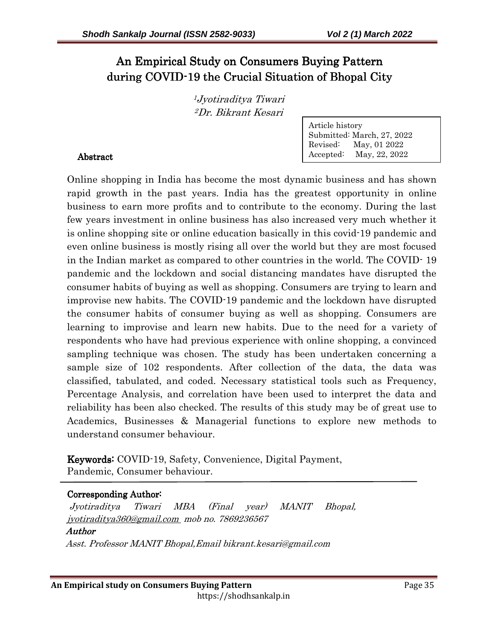# An Empirical Study on Consumers Buying Pattern during COVID-19 the Crucial Situation of Bhopal City

<sup>1</sup>Jyotiraditya Tiwari <sup>2</sup>Dr. Bikrant Kesari

#### Abstract

Article history Submitted: March, 27, 2022 Revised: May, 01 2022 Accepted: May, 22, 2022

Online shopping in India has become the most dynamic business and has shown rapid growth in the past years. India has the greatest opportunity in online business to earn more profits and to contribute to the economy. During the last few years investment in online business has also increased very much whether it is online shopping site or online education basically in this covid-19 pandemic and even online business is mostly rising all over the world but they are most focused in the Indian market as compared to other countries in the world. The COVID- 19 pandemic and the lockdown and social distancing mandates have disrupted the consumer habits of buying as well as shopping. Consumers are trying to learn and improvise new habits. The COVID-19 pandemic and the lockdown have disrupted the consumer habits of consumer buying as well as shopping. Consumers are learning to improvise and learn new habits. Due to the need for a variety of respondents who have had previous experience with online shopping, a convinced sampling technique was chosen. The study has been undertaken concerning a sample size of 102 respondents. After collection of the data, the data was classified, tabulated, and coded. Necessary statistical tools such as Frequency, Percentage Analysis, and correlation have been used to interpret the data and reliability has been also checked. The results of this study may be of great use to Academics, Businesses & Managerial functions to explore new methods to understand consumer behaviour.

Keywords: COVID-19, Safety, Convenience, Digital Payment, Pandemic, Consumer behaviour.

#### Corresponding Author:

 Jyotiraditya Tiwari MBA (Final year) MANIT Bhopal, jyotiraditya360@gmail.com mob no. 7869236567 Author Asst. Professor MANIT Bhopal,Email bikrant.kesari@gmail.com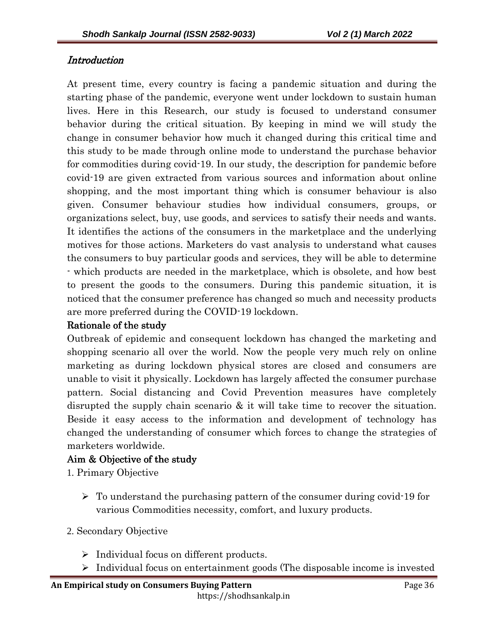## **Introduction**

At present time, every country is facing a pandemic situation and during the starting phase of the pandemic, everyone went under lockdown to sustain human lives. Here in this Research, our study is focused to understand consumer behavior during the critical situation. By keeping in mind we will study the change in consumer behavior how much it changed during this critical time and this study to be made through online mode to understand the purchase behavior for commodities during covid-19. In our study, the description for pandemic before covid-19 are given extracted from various sources and information about online shopping, and the most important thing which is consumer behaviour is also given. Consumer behaviour studies how individual consumers, groups, or organizations select, buy, use goods, and services to satisfy their needs and wants. It identifies the actions of the consumers in the marketplace and the underlying motives for those actions. Marketers do vast analysis to understand what causes the consumers to buy particular goods and services, they will be able to determine - which products are needed in the marketplace, which is obsolete, and how best to present the goods to the consumers. During this pandemic situation, it is noticed that the consumer preference has changed so much and necessity products are more preferred during the COVID-19 lockdown.

## Rationale of the study

Outbreak of epidemic and consequent lockdown has changed the marketing and shopping scenario all over the world. Now the people very much rely on online marketing as during lockdown physical stores are closed and consumers are unable to visit it physically. Lockdown has largely affected the consumer purchase pattern. Social distancing and Covid Prevention measures have completely disrupted the supply chain scenario & it will take time to recover the situation. Beside it easy access to the information and development of technology has changed the understanding of consumer which forces to change the strategies of marketers worldwide.

## Aim & Objective of the study

1. Primary Objective

- $\triangleright$  To understand the purchasing pattern of the consumer during covid-19 for various Commodities necessity, comfort, and luxury products.
- 2. Secondary Objective
	- $\triangleright$  Individual focus on different products.
	- $\triangleright$  Individual focus on entertainment goods (The disposable income is invested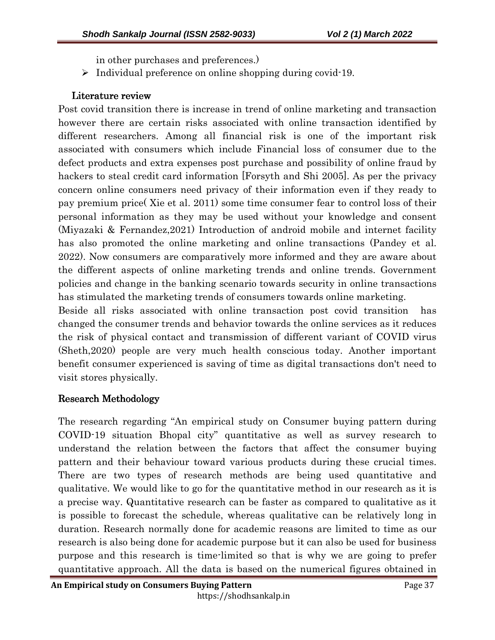in other purchases and preferences.)

 $\triangleright$  Individual preference on online shopping during covid-19.

### Literature review

Post covid transition there is increase in trend of online marketing and transaction however there are certain risks associated with online transaction identified by different researchers. Among all financial risk is one of the important risk associated with consumers which include Financial loss of consumer due to the defect products and extra expenses post purchase and possibility of online fraud by hackers to steal credit card information [Forsyth and Shi 2005]. As per the privacy concern online consumers need privacy of their information even if they ready to pay premium price( Xie et al. 2011) some time consumer fear to control loss of their personal information as they may be used without your knowledge and consent (Miyazaki & Fernandez,2021) Introduction of android mobile and internet facility has also promoted the online marketing and online transactions (Pandey et al. 2022). Now consumers are comparatively more informed and they are aware about the different aspects of online marketing trends and online trends. Government policies and change in the banking scenario towards security in online transactions has stimulated the marketing trends of consumers towards online marketing.

Beside all risks associated with online transaction post covid transition has changed the consumer trends and behavior towards the online services as it reduces the risk of physical contact and transmission of different variant of COVID virus (Sheth,2020) people are very much health conscious today. Another important benefit consumer experienced is saving of time as digital transactions don't need to visit stores physically.

## Research Methodology

The research regarding "An empirical study on Consumer buying pattern during COVID-19 situation Bhopal city" quantitative as well as survey research to understand the relation between the factors that affect the consumer buying pattern and their behaviour toward various products during these crucial times. There are two types of research methods are being used quantitative and qualitative. We would like to go for the quantitative method in our research as it is a precise way. Quantitative research can be faster as compared to qualitative as it is possible to forecast the schedule, whereas qualitative can be relatively long in duration. Research normally done for academic reasons are limited to time as our research is also being done for academic purpose but it can also be used for business purpose and this research is time-limited so that is why we are going to prefer quantitative approach. All the data is based on the numerical figures obtained in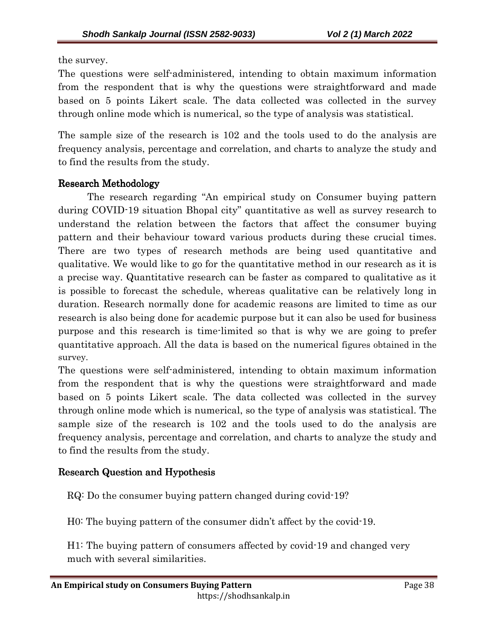the survey.

The questions were self-administered, intending to obtain maximum information from the respondent that is why the questions were straightforward and made based on 5 points Likert scale. The data collected was collected in the survey through online mode which is numerical, so the type of analysis was statistical.

The sample size of the research is 102 and the tools used to do the analysis are frequency analysis, percentage and correlation, and charts to analyze the study and to find the results from the study.

## Research Methodology

The research regarding "An empirical study on Consumer buying pattern during COVID-19 situation Bhopal city" quantitative as well as survey research to understand the relation between the factors that affect the consumer buying pattern and their behaviour toward various products during these crucial times. There are two types of research methods are being used quantitative and qualitative. We would like to go for the quantitative method in our research as it is a precise way. Quantitative research can be faster as compared to qualitative as it is possible to forecast the schedule, whereas qualitative can be relatively long in duration. Research normally done for academic reasons are limited to time as our research is also being done for academic purpose but it can also be used for business purpose and this research is time-limited so that is why we are going to prefer quantitative approach. All the data is based on the numerical figures obtained in the survey.

The questions were self-administered, intending to obtain maximum information from the respondent that is why the questions were straightforward and made based on 5 points Likert scale. The data collected was collected in the survey through online mode which is numerical, so the type of analysis was statistical. The sample size of the research is 102 and the tools used to do the analysis are frequency analysis, percentage and correlation, and charts to analyze the study and to find the results from the study.

## Research Question and Hypothesis

RQ: Do the consumer buying pattern changed during covid-19?

H0: The buying pattern of the consumer didn't affect by the covid-19.

H1: The buying pattern of consumers affected by covid-19 and changed very much with several similarities.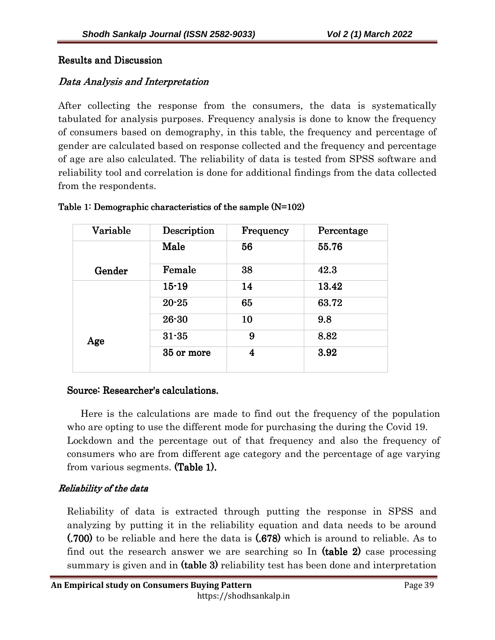### Results and Discussion

## Data Analysis and Interpretation

After collecting the response from the consumers, the data is systematically tabulated for analysis purposes. Frequency analysis is done to know the frequency of consumers based on demography, in this table, the frequency and percentage of gender are calculated based on response collected and the frequency and percentage of age are also calculated. The reliability of data is tested from SPSS software and reliability tool and correlation is done for additional findings from the data collected from the respondents.

| Variable | Description | Frequency | Percentage |
|----------|-------------|-----------|------------|
|          | Male        | 56        | 55.76      |
| Gender   | Female      | 38        | 42.3       |
|          | $15 - 19$   | 14        | 13.42      |
|          | $20 - 25$   | 65        | 63.72      |
|          | $26 - 30$   | 10        | 9.8        |
| Age      | $31 - 35$   | 9         | 8.82       |
|          | 35 or more  | 4         | 3.92       |

#### Table 1: Demographic characteristics of the sample (N=102)

### Source: Researcher's calculations.

 Here is the calculations are made to find out the frequency of the population who are opting to use the different mode for purchasing the during the Covid 19. Lockdown and the percentage out of that frequency and also the frequency of consumers who are from different age category and the percentage of age varying from various segments. **(Table 1).** 

## Reliability of the data

Reliability of data is extracted through putting the response in SPSS and analyzing by putting it in the reliability equation and data needs to be around (.700) to be reliable and here the data is (.678) which is around to reliable. As to find out the research answer we are searching so In  $(table 2)$  case processing summary is given and in (table 3) reliability test has been done and interpretation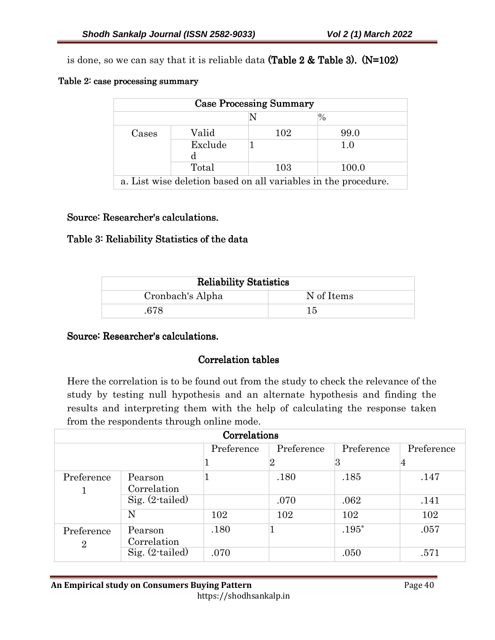is done, so we can say that it is reliable data (Table 2  $\&$  Table 3). (N=102)

#### Table 2: case processing summary

| <b>Case Processing Summary</b>                                 |         |     |      |  |  |  |
|----------------------------------------------------------------|---------|-----|------|--|--|--|
| $\%$                                                           |         |     |      |  |  |  |
| Cases                                                          | Valid   | 102 | 99.0 |  |  |  |
|                                                                | Exclude |     | 1.0  |  |  |  |
|                                                                |         |     |      |  |  |  |
| Total<br>100.0<br>103                                          |         |     |      |  |  |  |
| a. List wise deletion based on all variables in the procedure. |         |     |      |  |  |  |

### Source: Researcher's calculations.

### Table 3: Reliability Statistics of the data

| <b>Reliability Statistics</b>  |    |  |  |
|--------------------------------|----|--|--|
| Cronbach's Alpha<br>N of Items |    |  |  |
| 678                            | 15 |  |  |

### Source: Researcher's calculations.

### Correlation tables

Here the correlation is to be found out from the study to check the relevance of the study by testing null hypothesis and an alternate hypothesis and finding the results and interpreting them with the help of calculating the response taken from the respondents through online mode.

|                              | Correlations           |            |            |            |            |
|------------------------------|------------------------|------------|------------|------------|------------|
|                              |                        | Preference | Preference | Preference | Preference |
|                              |                        |            |            | 3          |            |
| Preference                   | Pearson<br>Correlation |            | .180       | .185       | .147       |
|                              | Sig. $(2-tailed)$      |            | .070       | .062       | .141       |
|                              | N                      | 102        | 102        | 102        | 102        |
| Preference<br>$\overline{2}$ | Pearson<br>Correlation | .180       |            | $.195*$    | .057       |
|                              | Sig. $(2\tt-tailed)$   | .070       |            | .050       | .571       |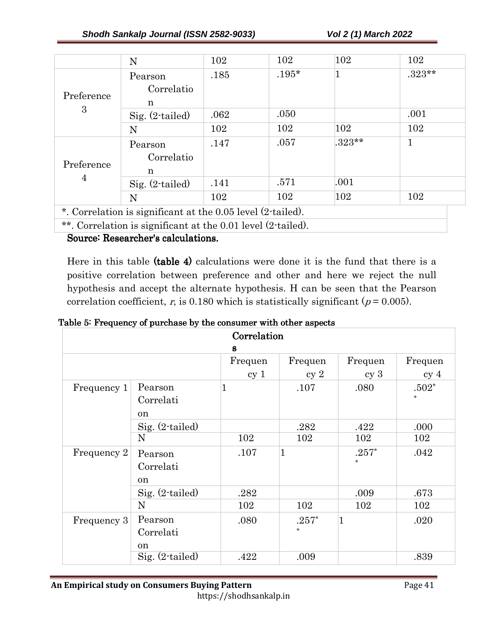|                                                             | N                 | 102  | 102     | 102           | 102      |
|-------------------------------------------------------------|-------------------|------|---------|---------------|----------|
|                                                             | Pearson           | .185 | $.195*$ |               | $.323**$ |
| Preference                                                  | Correlatio        |      |         |               |          |
|                                                             | n                 |      |         |               |          |
| 3                                                           | $Sig. (2-tailed)$ | .062 | .050    |               | .001     |
|                                                             | N                 | 102  | 102     | $ 102\rangle$ | 102      |
|                                                             | Pearson           | .147 | .057    | $.323**$      | 1        |
|                                                             | Correlatio        |      |         |               |          |
| Preference                                                  | n                 |      |         |               |          |
| $\overline{4}$                                              | $Sig. (2-tailed)$ | .141 | .571    | .001          |          |
|                                                             | N                 | 102  | 102     | 102           | 102      |
| *. Correlation is significant at the 0.05 level (2-tailed). |                   |      |         |               |          |

\*\*. Correlation is significant at the 0.01 level (2-tailed).

Source: Researcher's calculations.

Here in this table (table 4) calculations were done it is the fund that there is a positive correlation between preference and other and here we reject the null hypothesis and accept the alternate hypothesis. H can be seen that the Pearson correlation coefficient, r, is 0.180 which is statistically significant ( $p = 0.005$ ).

| Correlation |                   |                 |                 |                 |                 |
|-------------|-------------------|-----------------|-----------------|-----------------|-----------------|
|             |                   | S               |                 |                 |                 |
|             |                   | Frequen         | Frequen         | Frequen         | Frequen         |
|             |                   | cy <sub>1</sub> | cy <sub>2</sub> | cy <sub>3</sub> | cy <sub>4</sub> |
| Frequency 1 | Pearson           | $\mathbf{1}$    | .107            | .080            | $.502*$         |
|             | Correlati         |                 |                 |                 | $\star$         |
|             | <sub>on</sub>     |                 |                 |                 |                 |
|             | $Sig. (2-tailed)$ |                 | .282            | .422            | .000            |
|             | N                 | 102             | 102             | 102             | 102             |
| Frequency 2 | Pearson           | .107            | $\mathbf{1}$    | $.257*$         | .042            |
|             | Correlati         |                 |                 | $\star$         |                 |
|             | <sub>on</sub>     |                 |                 |                 |                 |
|             | $Sig. (2-tailed)$ | .282            |                 | .009            | .673            |
|             | N                 | 102             | 102             | 102             | 102             |
| Frequency 3 | Pearson           | .080            | $.257*$         | $\mathbf{1}$    | .020            |
|             | Correlati         |                 | $\star$         |                 |                 |
|             | <sub>on</sub>     |                 |                 |                 |                 |
|             | $Sig. (2-tailed)$ | .422            | .009            |                 | .839            |

Table 5: Frequency of purchase by the consumer with other aspects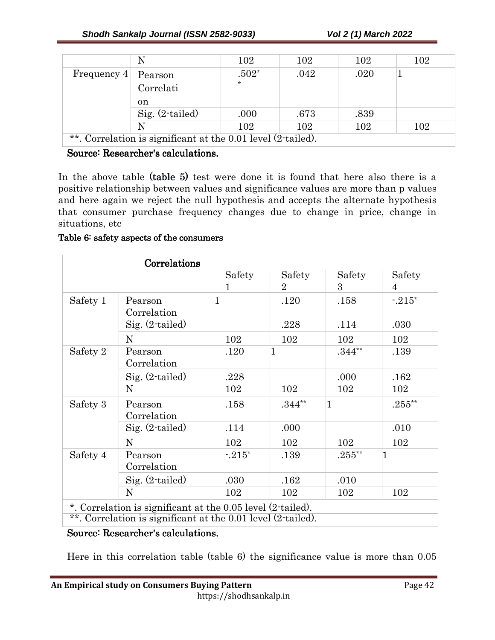|                                                              | N                 | 102     | 102  | 102  | 102 |
|--------------------------------------------------------------|-------------------|---------|------|------|-----|
| Frequency $4$                                                | Pearson           | $.502*$ | .042 | .020 |     |
|                                                              | Correlati         | $\star$ |      |      |     |
|                                                              | on.               |         |      |      |     |
|                                                              | $Sig. (2-tailed)$ | .000    | .673 | .839 |     |
|                                                              |                   | 102     | 102  | 102  | 102 |
| **. Correlation is significant at the 0.01 level (2-tailed). |                   |         |      |      |     |

Source: Researcher's calculations.

In the above table (table 5) test were done it is found that here also there is a positive relationship between values and significance values are more than p values and here again we reject the null hypothesis and accepts the alternate hypothesis that consumer purchase frequency changes due to change in price, change in situations, etc

#### Table 6: safety aspects of the consumers

|          | Correlations                                                                                                                |             |                          |              |             |
|----------|-----------------------------------------------------------------------------------------------------------------------------|-------------|--------------------------|--------------|-------------|
|          |                                                                                                                             | Safety<br>1 | Safety<br>$\overline{2}$ | Safety<br>3  | Safety<br>4 |
| Safety 1 | Pearson<br>Correlation                                                                                                      | 1           | .120                     | .158         | $-215*$     |
|          | $Sig. (2-tailed)$                                                                                                           |             | .228                     | .114         | .030        |
|          | N                                                                                                                           | 102         | 102                      | 102          | 102         |
| Safety 2 | Pearson<br>Correlation                                                                                                      | .120        | $\overline{1}$           | $.344**$     | .139        |
|          | $Sig. (2-tailed)$                                                                                                           | .228        |                          | .000         | .162        |
|          | N                                                                                                                           | 102         | 102                      | 102          | 102         |
| Safety 3 | Pearson<br>Correlation                                                                                                      | .158        | $.344**$                 | $\mathbf{1}$ | $.255***$   |
|          | $Sig. (2-tailed)$                                                                                                           | .114        | .000                     |              | .010        |
|          | $\mathbf N$                                                                                                                 | 102         | 102                      | 102          | 102         |
| Safety 4 | Pearson<br>Correlation                                                                                                      | $-215^*$    | .139                     | $.255***$    | 1           |
|          | $Sig. (2-tailed)$                                                                                                           | .030        | .162                     | .010         |             |
|          | $\mathbf N$                                                                                                                 | 102         | 102                      | 102          | 102         |
|          | *. Correlation is significant at the 0.05 level (2-tailed).<br>**. Correlation is significant at the 0.01 level (2-tailed). |             |                          |              |             |

Source: Researcher's calculations.

Here in this correlation table (table 6) the significance value is more than 0.05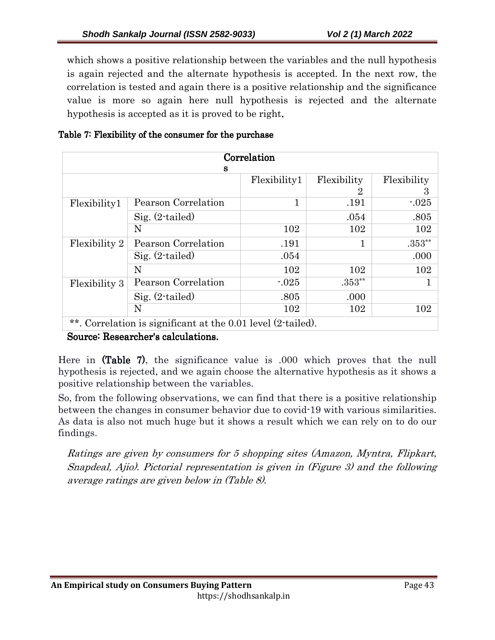which shows a positive relationship between the variables and the null hypothesis is again rejected and the alternate hypothesis is accepted. In the next row, the correlation is tested and again there is a positive relationship and the significance value is more so again here null hypothesis is rejected and the alternate hypothesis is accepted as it is proved to be right.

|  | Table 7: Flexibility of the consumer for the purchase |
|--|-------------------------------------------------------|
|--|-------------------------------------------------------|

|                      | Correlation                                                  |              |             |             |  |  |
|----------------------|--------------------------------------------------------------|--------------|-------------|-------------|--|--|
|                      | S                                                            |              |             |             |  |  |
|                      |                                                              | Flexibility1 | Flexibility | Flexibility |  |  |
|                      |                                                              |              | 2           | 3           |  |  |
| Flexibility1         | Pearson Correlation                                          | 1            | .191        | $-0.025$    |  |  |
|                      | $Sig. (2-tailed)$                                            |              | .054        | .805        |  |  |
|                      | N                                                            | 102          | 102         | 102         |  |  |
| Flexibility 2        | Pearson Correlation                                          | .191         |             | $.353**$    |  |  |
|                      | $Sig. (2-tailed)$                                            | .054         |             | .000        |  |  |
|                      | N                                                            | 102          | 102         | 102         |  |  |
| <b>Flexibility 3</b> | Pearson Correlation                                          | $-0.025$     | $.353**$    |             |  |  |
|                      | $Sig. (2-tailed)$                                            | .805         | .000        |             |  |  |
|                      | N                                                            | 102          | 102         | 102         |  |  |
|                      | **. Correlation is significant at the 0.01 level (2-tailed). |              |             |             |  |  |

Source: Researcher's calculations.

Here in  $(Table 7)$ , the significance value is  $.000$  which proves that the null hypothesis is rejected, and we again choose the alternative hypothesis as it shows a positive relationship between the variables.

So, from the following observations, we can find that there is a positive relationship between the changes in consumer behavior due to covid-19 with various similarities. As data is also not much huge but it shows a result which we can rely on to do our findings.

Ratings are given by consumers for 5 shopping sites (Amazon, Myntra, Flipkart, Snapdeal, Ajio). Pictorial representation is given in (Figure 3) and the following average ratings are given below in (Table 8).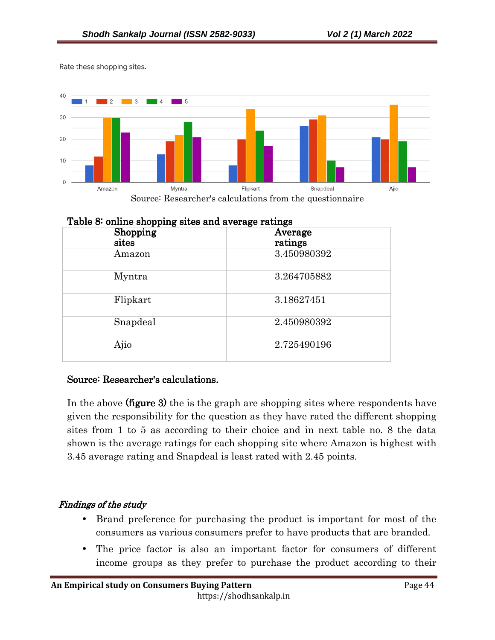Rate these shopping sites.



Table 8: online shopping sites and average ratings

| Shopping<br>sites | Average<br>ratings |
|-------------------|--------------------|
| Amazon            | 3.450980392        |
| Myntra            | 3.264705882        |
| Flipkart          | 3.18627451         |
| Snapdeal          | 2.450980392        |
| Ajio              | 2.725490196        |

### Source: Researcher's calculations.

In the above  $(figure 3)$  the is the graph are shopping sites where respondents have given the responsibility for the question as they have rated the different shopping sites from 1 to 5 as according to their choice and in next table no. 8 the data shown is the average ratings for each shopping site where Amazon is highest with 3.45 average rating and Snapdeal is least rated with 2.45 points.

#### Findings of the study

- Brand preference for purchasing the product is important for most of the consumers as various consumers prefer to have products that are branded.
- The price factor is also an important factor for consumers of different income groups as they prefer to purchase the product according to their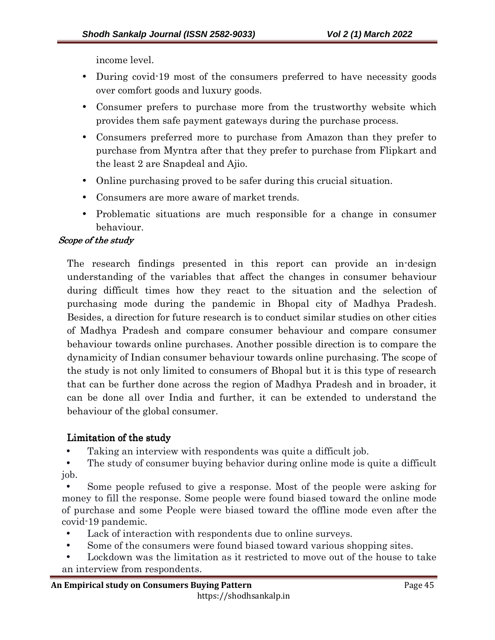income level.

- During covid-19 most of the consumers preferred to have necessity goods over comfort goods and luxury goods.
- Consumer prefers to purchase more from the trustworthy website which provides them safe payment gateways during the purchase process.
- Consumers preferred more to purchase from Amazon than they prefer to purchase from Myntra after that they prefer to purchase from Flipkart and the least 2 are Snapdeal and Ajio.
- Online purchasing proved to be safer during this crucial situation.
- Consumers are more aware of market trends.
- Problematic situations are much responsible for a change in consumer behaviour.

#### Scope of the study

The research findings presented in this report can provide an in-design understanding of the variables that affect the changes in consumer behaviour during difficult times how they react to the situation and the selection of purchasing mode during the pandemic in Bhopal city of Madhya Pradesh. Besides, a direction for future research is to conduct similar studies on other cities of Madhya Pradesh and compare consumer behaviour and compare consumer behaviour towards online purchases. Another possible direction is to compare the dynamicity of Indian consumer behaviour towards online purchasing. The scope of the study is not only limited to consumers of Bhopal but it is this type of research that can be further done across the region of Madhya Pradesh and in broader, it can be done all over India and further, it can be extended to understand the behaviour of the global consumer.

### Limitation of the study

• Taking an interview with respondents was quite a difficult job.

• The study of consumer buying behavior during online mode is quite a difficult job.

• Some people refused to give a response. Most of the people were asking for money to fill the response. Some people were found biased toward the online mode of purchase and some People were biased toward the offline mode even after the covid-19 pandemic.

- Lack of interaction with respondents due to online surveys.
- Some of the consumers were found biased toward various shopping sites.

• Lockdown was the limitation as it restricted to move out of the house to take an interview from respondents.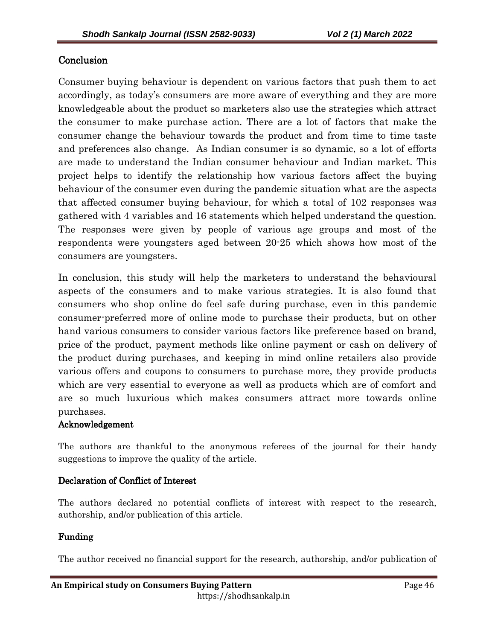## **Conclusion**

Consumer buying behaviour is dependent on various factors that push them to act accordingly, as today's consumers are more aware of everything and they are more knowledgeable about the product so marketers also use the strategies which attract the consumer to make purchase action. There are a lot of factors that make the consumer change the behaviour towards the product and from time to time taste and preferences also change. As Indian consumer is so dynamic, so a lot of efforts are made to understand the Indian consumer behaviour and Indian market. This project helps to identify the relationship how various factors affect the buying behaviour of the consumer even during the pandemic situation what are the aspects that affected consumer buying behaviour, for which a total of 102 responses was gathered with 4 variables and 16 statements which helped understand the question. The responses were given by people of various age groups and most of the respondents were youngsters aged between 20-25 which shows how most of the consumers are youngsters.

In conclusion, this study will help the marketers to understand the behavioural aspects of the consumers and to make various strategies. It is also found that consumers who shop online do feel safe during purchase, even in this pandemic consumer-preferred more of online mode to purchase their products, but on other hand various consumers to consider various factors like preference based on brand, price of the product, payment methods like online payment or cash on delivery of the product during purchases, and keeping in mind online retailers also provide various offers and coupons to consumers to purchase more, they provide products which are very essential to everyone as well as products which are of comfort and are so much luxurious which makes consumers attract more towards online purchases.

#### Acknowledgement

The authors are thankful to the anonymous referees of the journal for their handy suggestions to improve the quality of the article.

### Declaration of Conflict of Interest

The authors declared no potential conflicts of interest with respect to the research, authorship, and/or publication of this article.

### Funding Funding

The author received no financial support for the research, authorship, and/or publication of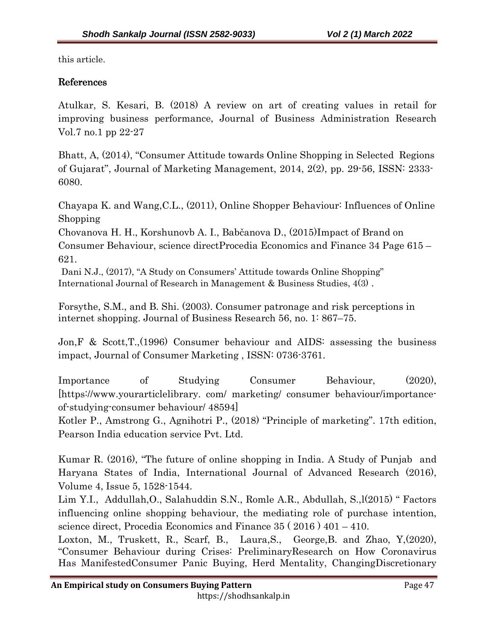this article.

## References

Atulkar, S. Kesari, B. (2018) A review on art of creating values in retail for improving business performance, Journal of Business Administration Research Vol.7 no.1 pp 22-27

Bhatt, A, (2014), "Consumer Attitude towards Online Shopping in Selected Regions of Gujarat", Journal of Marketing Management, 2014, 2(2), pp. 29-56, ISSN: 2333- 6080.

Chayapa K. and Wang,C.L., (2011), Online Shopper Behaviour: Influences of Online Shopping

Chovanova H. H., Korshunovb A. I., Babčanova D., (2015)Impact of Brand on Consumer Behaviour, science directProcedia Economics and Finance 34 Page 615 – 621.

 Dani N.J., (2017), "A Study on Consumers' Attitude towards Online Shopping" International Journal of Research in Management & Business Studies, 4(3) .

Forsythe, S.M., and B. Shi. (2003). Consumer patronage and risk perceptions in internet shopping. Journal of Business Research 56, no. 1: 867–75.

Jon,F & Scott,T.,(1996) Consumer behaviour and AIDS: assessing the business impact, Journal of Consumer Marketing , ISSN: 0736-3761.

Importance of Studying Consumer Behaviour, (2020), [https://www.yourarticlelibrary. com/ marketing/ consumer behaviour/importanceof-studying-consumer behaviour/ 48594]

Kotler P., Amstrong G., Agnihotri P., (2018) "Principle of marketing". 17th edition, Pearson India education service Pvt. Ltd.

Kumar R. (2016), "The future of online shopping in India. A Study of Punjab and Haryana States of India, International Journal of Advanced Research (2016), Volume 4, Issue 5, 1528-1544.

Lim Y.I., Addullah,O., Salahuddin S.N., Romle A.R., Abdullah, S.,l(2015) " Factors influencing online shopping behaviour, the mediating role of purchase intention, science direct, Procedia Economics and Finance 35 ( 2016 ) 401 – 410.

Loxton, M., Truskett, R., Scarf, B., Laura, S., George, B. and Zhao, Y. (2020), "Consumer Behaviour during Crises: PreliminaryResearch on How Coronavirus Has ManifestedConsumer Panic Buying, Herd Mentality, ChangingDiscretionary